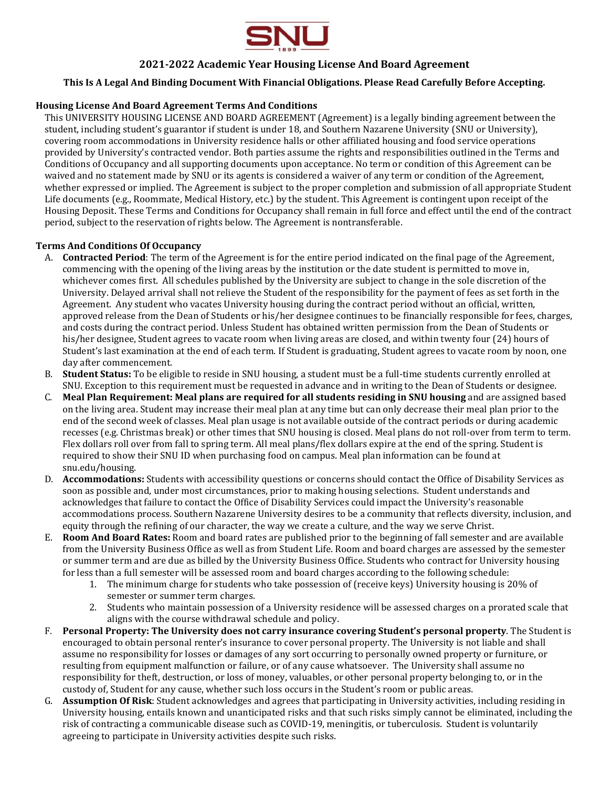

## **2021-2022 Academic Year Housing License And Board Agreement**

## **This Is A Legal And Binding Document With Financial Obligations. Please Read Carefully Before Accepting.**

#### **Housing License And Board Agreement Terms And Conditions**

This UNIVERSITY HOUSING LICENSE AND BOARD AGREEMENT (Agreement) is a legally binding agreement between the student, including student's guarantor if student is under 18, and Southern Nazarene University (SNU or University), covering room accommodations in University residence halls or other affiliated housing and food service operations provided by University's contracted vendor. Both parties assume the rights and responsibilities outlined in the Terms and Conditions of Occupancy and all supporting documents upon acceptance. No term or condition of this Agreement can be waived and no statement made by SNU or its agents is considered a waiver of any term or condition of the Agreement, whether expressed or implied. The Agreement is subject to the proper completion and submission of all appropriate Student Life documents (e.g., Roommate, Medical History, etc.) by the student. This Agreement is contingent upon receipt of the Housing Deposit. These Terms and Conditions for Occupancy shall remain in full force and effect until the end of the contract period, subject to the reservation of rights below. The Agreement is nontransferable.

## **Terms And Conditions Of Occupancy**

- A. **Contracted Period**: The term of the Agreement is for the entire period indicated on the final page of the Agreement, commencing with the opening of the living areas by the institution or the date student is permitted to move in, whichever comes first. All schedules published by the University are subject to change in the sole discretion of the University. Delayed arrival shall not relieve the Student of the responsibility for the payment of fees as set forth in the Agreement. Any student who vacates University housing during the contract period without an official, written, approved release from the Dean of Students or his/her designee continues to be financially responsible for fees, charges, and costs during the contract period. Unless Student has obtained written permission from the Dean of Students or his/her designee, Student agrees to vacate room when living areas are closed, and within twenty four (24) hours of Student's last examination at the end of each term. If Student is graduating, Student agrees to vacate room by noon, one day after commencement.
- B. **Student Status:** To be eligible to reside in SNU housing, a student must be a full-time students currently enrolled at SNU. Exception to this requirement must be requested in advance and in writing to the Dean of Students or designee.
- C. **Meal Plan Requirement: Meal plans are required for all students residing in SNU housing** and are assigned based on the living area. Student may increase their meal plan at any time but can only decrease their meal plan prior to the end of the second week of classes. Meal plan usage is not available outside of the contract periods or during academic recesses (e.g. Christmas break) or other times that SNU housing is closed. Meal plans do not roll-over from term to term. Flex dollars roll over from fall to spring term. All meal plans/flex dollars expire at the end of the spring. Student is required to show their SNU ID when purchasing food on campus. Meal plan information can be found at snu.edu/housing.
- D. **Accommodations:** Students with accessibility questions or concerns should contact the Office of Disability Services as soon as possible and, under most circumstances, prior to making housing selections. Student understands and acknowledges that failure to contact the Office of Disability Services could impact the University's reasonable accommodations process. Southern Nazarene University desires to be a community that reflects diversity, inclusion, and equity through the refining of our character, the way we create a culture, and the way we serve Christ.
- E. **Room And Board Rates:** Room and board rates are published prior to the beginning of fall semester and are available from the University Business Office as well as from Student Life. Room and board charges are assessed by the semester or summer term and are due as billed by the University Business Office. Students who contract for University housing for less than a full semester will be assessed room and board charges according to the following schedule:
	- 1. The minimum charge for students who take possession of (receive keys) University housing is 20% of semester or summer term charges.
	- 2. Students who maintain possession of a University residence will be assessed charges on a prorated scale that aligns with the course withdrawal schedule and policy.
- F. **Personal Property: The University does not carry insurance covering Student's personal property**. The Student is encouraged to obtain personal renter's insurance to cover personal property. The University is not liable and shall assume no responsibility for losses or damages of any sort occurring to personally owned property or furniture, or resulting from equipment malfunction or failure, or of any cause whatsoever. The University shall assume no responsibility for theft, destruction, or loss of money, valuables, or other personal property belonging to, or in the custody of, Student for any cause, whether such loss occurs in the Student's room or public areas.
- G. **Assumption Of Risk**: Student acknowledges and agrees that participating in University activities, including residing in University housing, entails known and unanticipated risks and that such risks simply cannot be eliminated, including the risk of contracting a communicable disease such as COVID-19, meningitis, or tuberculosis. Student is voluntarily agreeing to participate in University activities despite such risks.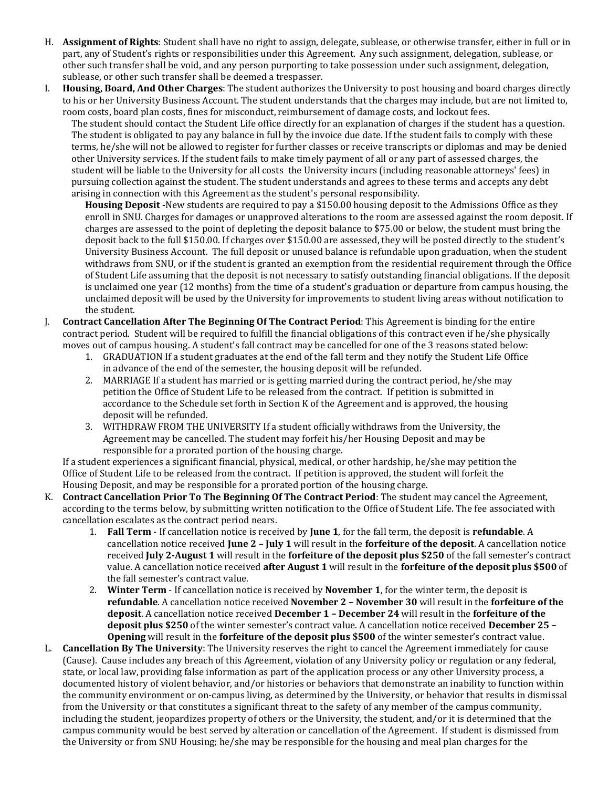- H. **Assignment of Rights**: Student shall have no right to assign, delegate, sublease, or otherwise transfer, either in full or in part, any of Student's rights or responsibilities under this Agreement. Any such assignment, delegation, sublease, or other such transfer shall be void, and any person purporting to take possession under such assignment, delegation, sublease, or other such transfer shall be deemed a trespasser.
- I. **Housing, Board, And Other Charges**: The student authorizes the University to post housing and board charges directly to his or her University Business Account. The student understands that the charges may include, but are not limited to, room costs, board plan costs, fines for misconduct, reimbursement of damage costs, and lockout fees.

The student should contact the Student Life office directly for an explanation of charges if the student has a question. The student is obligated to pay any balance in full by the invoice due date. If the student fails to comply with these terms, he/she will not be allowed to register for further classes or receive transcripts or diplomas and may be denied other University services. If the student fails to make timely payment of all or any part of assessed charges, the student will be liable to the University for all costs the University incurs (including reasonable attorneys' fees) in pursuing collection against the student. The student understands and agrees to these terms and accepts any debt arising in connection with this Agreement as the student's personal responsibility.

- **Housing Deposit -**New students are required to pay a \$150.00 housing deposit to the Admissions Office as they enroll in SNU. Charges for damages or unapproved alterations to the room are assessed against the room deposit. If charges are assessed to the point of depleting the deposit balance to \$75.00 or below, the student must bring the deposit back to the full \$150.00. If charges over \$150.00 are assessed, they will be posted directly to the student's University Business Account. The full deposit or unused balance is refundable upon graduation, when the student withdraws from SNU, or if the student is granted an exemption from the residential requirement through the Office of Student Life assuming that the deposit is not necessary to satisfy outstanding financial obligations. If the deposit is unclaimed one year (12 months) from the time of a student's graduation or departure from campus housing, the unclaimed deposit will be used by the University for improvements to student living areas without notification to the student.
- J. **Contract Cancellation After The Beginning Of The Contract Period**: This Agreement is binding for the entire contract period. Student will be required to fulfill the financial obligations of this contract even if he/she physically moves out of campus housing. A student's fall contract may be cancelled for one of the 3 reasons stated below:
	- 1. GRADUATION If a student graduates at the end of the fall term and they notify the Student Life Office in advance of the end of the semester, the housing deposit will be refunded.
	- 2. MARRIAGE If a student has married or is getting married during the contract period, he/she may petition the Office of Student Life to be released from the contract. If petition is submitted in accordance to the Schedule set forth in Section K of the Agreement and is approved, the housing deposit will be refunded.
	- 3. WITHDRAW FROM THE UNIVERSITY If a student officially withdraws from the University, the Agreement may be cancelled. The student may forfeit his/her Housing Deposit and may be responsible for a prorated portion of the housing charge.

If a student experiences a significant financial, physical, medical, or other hardship, he/she may petition the Office of Student Life to be released from the contract. If petition is approved, the student will forfeit the Housing Deposit, and may be responsible for a prorated portion of the housing charge.

- K. **Contract Cancellation Prior To The Beginning Of The Contract Period**: The student may cancel the Agreement, according to the terms below, by submitting written notification to the Office of Student Life. The fee associated with cancellation escalates as the contract period nears.
	- 1. **Fall Term** If cancellation notice is received by **June 1**, for the fall term, the deposit is **refundable**. A cancellation notice received **June 2 – July 1** will result in the **forfeiture of the deposit**. A cancellation notice received **July 2-August 1** will result in the **forfeiture of the deposit plus \$250** of the fall semester's contract value. A cancellation notice received **after August 1** will result in the **forfeiture of the deposit plus \$500** of the fall semester's contract value.
	- 2. **Winter Term** If cancellation notice is received by **November 1**, for the winter term, the deposit is **refundable**. A cancellation notice received **November 2 – November 30** will result in the **forfeiture of the deposit**. A cancellation notice received **December 1 – December 24** will result in the **forfeiture of the deposit plus \$250** of the winter semester's contract value. A cancellation notice received **December 25 – Opening** will result in the **forfeiture of the deposit plus \$500** of the winter semester's contract value.
- L. **Cancellation By The University**: The University reserves the right to cancel the Agreement immediately for cause (Cause). Cause includes any breach of this Agreement, violation of any University policy or regulation or any federal, state, or local law, providing false information as part of the application process or any other University process, a documented history of violent behavior, and/or histories or behaviors that demonstrate an inability to function within the community environment or on-campus living, as determined by the University, or behavior that results in dismissal from the University or that constitutes a significant threat to the safety of any member of the campus community, including the student, jeopardizes property of others or the University, the student, and/or it is determined that the campus community would be best served by alteration or cancellation of the Agreement. If student is dismissed from the University or from SNU Housing; he/she may be responsible for the housing and meal plan charges for the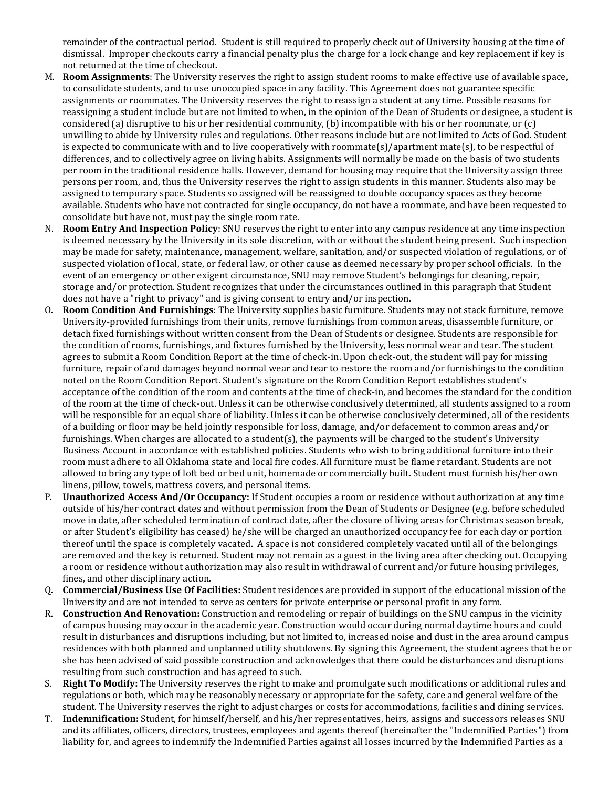remainder of the contractual period. Student is still required to properly check out of University housing at the time of dismissal. Improper checkouts carry a financial penalty plus the charge for a lock change and key replacement if key is not returned at the time of checkout.

- M. **Room Assignments**: The University reserves the right to assign student rooms to make effective use of available space, to consolidate students, and to use unoccupied space in any facility. This Agreement does not guarantee specific assignments or roommates. The University reserves the right to reassign a student at any time. Possible reasons for reassigning a student include but are not limited to when, in the opinion of the Dean of Students or designee, a student is considered (a) disruptive to his or her residential community, (b) incompatible with his or her roommate, or (c) unwilling to abide by University rules and regulations. Other reasons include but are not limited to Acts of God. Student is expected to communicate with and to live cooperatively with roommate(s)/apartment mate(s), to be respectful of differences, and to collectively agree on living habits. Assignments will normally be made on the basis of two students per room in the traditional residence halls. However, demand for housing may require that the University assign three persons per room, and, thus the University reserves the right to assign students in this manner. Students also may be assigned to temporary space. Students so assigned will be reassigned to double occupancy spaces as they become available. Students who have not contracted for single occupancy, do not have a roommate, and have been requested to consolidate but have not, must pay the single room rate.
- N. **Room Entry And Inspection Policy**: SNU reserves the right to enter into any campus residence at any time inspection is deemed necessary by the University in its sole discretion, with or without the student being present. Such inspection may be made for safety, maintenance, management, welfare, sanitation, and/or suspected violation of regulations, or of suspected violation of local, state, or federal law, or other cause as deemed necessary by proper school officials. In the event of an emergency or other exigent circumstance, SNU may remove Student's belongings for cleaning, repair, storage and/or protection. Student recognizes that under the circumstances outlined in this paragraph that Student does not have a "right to privacy" and is giving consent to entry and/or inspection.
- O. **Room Condition And Furnishings**: The University supplies basic furniture. Students may not stack furniture, remove University-provided furnishings from their units, remove furnishings from common areas, disassemble furniture, or detach fixed furnishings without written consent from the Dean of Students or designee. Students are responsible for the condition of rooms, furnishings, and fixtures furnished by the University, less normal wear and tear. The student agrees to submit a Room Condition Report at the time of check-in. Upon check-out, the student will pay for missing furniture, repair of and damages beyond normal wear and tear to restore the room and/or furnishings to the condition noted on the Room Condition Report. Student's signature on the Room Condition Report establishes student's acceptance of the condition of the room and contents at the time of check-in, and becomes the standard for the condition of the room at the time of check-out. Unless it can be otherwise conclusively determined, all students assigned to a room will be responsible for an equal share of liability. Unless it can be otherwise conclusively determined, all of the residents of a building or floor may be held jointly responsible for loss, damage, and/or defacement to common areas and/or furnishings. When charges are allocated to a student(s), the payments will be charged to the student's University Business Account in accordance with established policies. Students who wish to bring additional furniture into their room must adhere to all Oklahoma state and local fire codes. All furniture must be flame retardant. Students are not allowed to bring any type of loft bed or bed unit, homemade or commercially built. Student must furnish his/her own linens, pillow, towels, mattress covers, and personal items.
- P. **Unauthorized Access And/Or Occupancy:** If Student occupies a room or residence without authorization at any time outside of his/her contract dates and without permission from the Dean of Students or Designee (e.g. before scheduled move in date, after scheduled termination of contract date, after the closure of living areas for Christmas season break, or after Student's eligibility has ceased) he/she will be charged an unauthorized occupancy fee for each day or portion thereof until the space is completely vacated. A space is not considered completely vacated until all of the belongings are removed and the key is returned. Student may not remain as a guest in the living area after checking out. Occupying a room or residence without authorization may also result in withdrawal of current and/or future housing privileges, fines, and other disciplinary action.
- Q. **Commercial/Business Use Of Facilities:** Student residences are provided in support of the educational mission of the University and are not intended to serve as centers for private enterprise or personal profit in any form.
- R. **Construction And Renovation:** Construction and remodeling or repair of buildings on the SNU campus in the vicinity of campus housing may occur in the academic year. Construction would occur during normal daytime hours and could result in disturbances and disruptions including, but not limited to, increased noise and dust in the area around campus residences with both planned and unplanned utility shutdowns. By signing this Agreement, the student agrees that he or she has been advised of said possible construction and acknowledges that there could be disturbances and disruptions resulting from such construction and has agreed to such.
- S. **Right To Modify:** The University reserves the right to make and promulgate such modifications or additional rules and regulations or both, which may be reasonably necessary or appropriate for the safety, care and general welfare of the student. The University reserves the right to adjust charges or costs for accommodations, facilities and dining services.
- T. **Indemnification:** Student, for himself/herself, and his/her representatives, heirs, assigns and successors releases SNU and its affiliates, officers, directors, trustees, employees and agents thereof (hereinafter the "Indemnified Parties") from liability for, and agrees to indemnify the Indemnified Parties against all losses incurred by the Indemnified Parties as a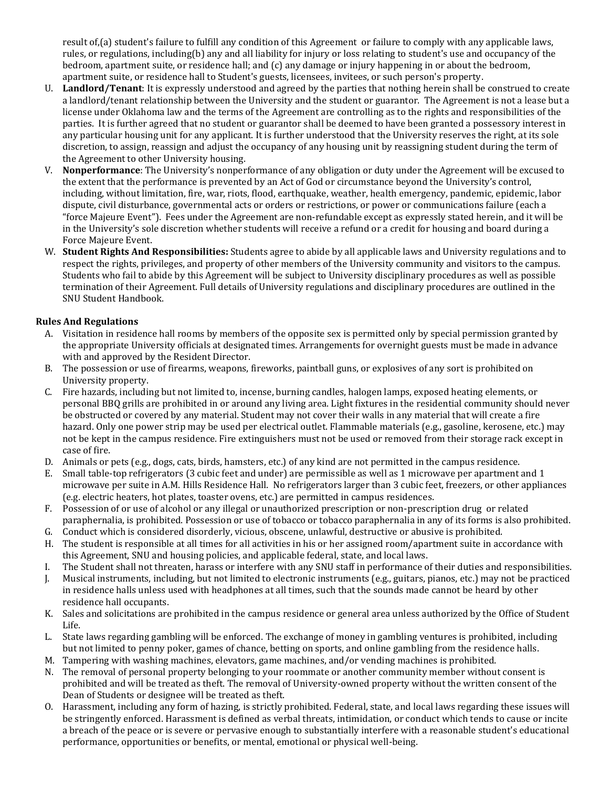result of,(a) student's failure to fulfill any condition of this Agreement or failure to comply with any applicable laws, rules, or regulations, including(b) any and all liability for injury or loss relating to student's use and occupancy of the bedroom, apartment suite, or residence hall; and (c) any damage or injury happening in or about the bedroom, apartment suite, or residence hall to Student's guests, licensees, invitees, or such person's property.

- U. **Landlord/Tenant**: It is expressly understood and agreed by the parties that nothing herein shall be construed to create a landlord/tenant relationship between the University and the student or guarantor. The Agreement is not a lease but a license under Oklahoma law and the terms of the Agreement are controlling as to the rights and responsibilities of the parties. It is further agreed that no student or guarantor shall be deemed to have been granted a possessory interest in any particular housing unit for any applicant. It is further understood that the University reserves the right, at its sole discretion, to assign, reassign and adjust the occupancy of any housing unit by reassigning student during the term of the Agreement to other University housing.
- V. **Nonperformance**: The University's nonperformance of any obligation or duty under the Agreement will be excused to the extent that the performance is prevented by an Act of God or circumstance beyond the University's control, including, without limitation, fire, war, riots, flood, earthquake, weather, health emergency, pandemic, epidemic, labor dispute, civil disturbance, governmental acts or orders or restrictions, or power or communications failure (each a "force Majeure Event"). Fees under the Agreement are non-refundable except as expressly stated herein, and it will be in the University's sole discretion whether students will receive a refund or a credit for housing and board during a Force Majeure Event.
- W. **Student Rights And Responsibilities:** Students agree to abide by all applicable laws and University regulations and to respect the rights, privileges, and property of other members of the University community and visitors to the campus. Students who fail to abide by this Agreement will be subject to University disciplinary procedures as well as possible termination of their Agreement. Full details of University regulations and disciplinary procedures are outlined in the SNU Student Handbook.

# **Rules And Regulations**

- A. Visitation in residence hall rooms by members of the opposite sex is permitted only by special permission granted by the appropriate University officials at designated times. Arrangements for overnight guests must be made in advance with and approved by the Resident Director.
- B. The possession or use of firearms, weapons, fireworks, paintball guns, or explosives of any sort is prohibited on University property.
- C. Fire hazards, including but not limited to, incense, burning candles, halogen lamps, exposed heating elements, or personal BBQ grills are prohibited in or around any living area. Light fixtures in the residential community should never be obstructed or covered by any material. Student may not cover their walls in any material that will create a fire hazard. Only one power strip may be used per electrical outlet. Flammable materials (e.g., gasoline, kerosene, etc.) may not be kept in the campus residence. Fire extinguishers must not be used or removed from their storage rack except in case of fire.
- D. Animals or pets (e.g., dogs, cats, birds, hamsters, etc.) of any kind are not permitted in the campus residence.
- E. Small table-top refrigerators (3 cubic feet and under) are permissible as well as 1 microwave per apartment and 1 microwave per suite in A.M. Hills Residence Hall. No refrigerators larger than 3 cubic feet, freezers, or other appliances (e.g. electric heaters, hot plates, toaster ovens, etc.) are permitted in campus residences.
- F. Possession of or use of alcohol or any illegal or unauthorized prescription or non-prescription drug or related paraphernalia, is prohibited. Possession or use of tobacco or tobacco paraphernalia in any of its forms is also prohibited.
- G. Conduct which is considered disorderly, vicious, obscene, unlawful, destructive or abusive is prohibited.
- H. The student is responsible at all times for all activities in his or her assigned room/apartment suite in accordance with this Agreement, SNU and housing policies, and applicable federal, state, and local laws.
- I. The Student shall not threaten, harass or interfere with any SNU staff in performance of their duties and responsibilities.
- J. Musical instruments, including, but not limited to electronic instruments (e.g., guitars, pianos, etc.) may not be practiced in residence halls unless used with headphones at all times, such that the sounds made cannot be heard by other residence hall occupants.
- K. Sales and solicitations are prohibited in the campus residence or general area unless authorized by the Office of Student Life.
- L. State laws regarding gambling will be enforced. The exchange of money in gambling ventures is prohibited, including but not limited to penny poker, games of chance, betting on sports, and online gambling from the residence halls.
- M. Tampering with washing machines, elevators, game machines, and/or vending machines is prohibited.
- N. The removal of personal property belonging to your roommate or another community member without consent is prohibited and will be treated as theft. The removal of University-owned property without the written consent of the Dean of Students or designee will be treated as theft.
- O. Harassment, including any form of hazing, is strictly prohibited. Federal, state, and local laws regarding these issues will be stringently enforced. Harassment is defined as verbal threats, intimidation, or conduct which tends to cause or incite a breach of the peace or is severe or pervasive enough to substantially interfere with a reasonable student's educational performance, opportunities or benefits, or mental, emotional or physical well-being.